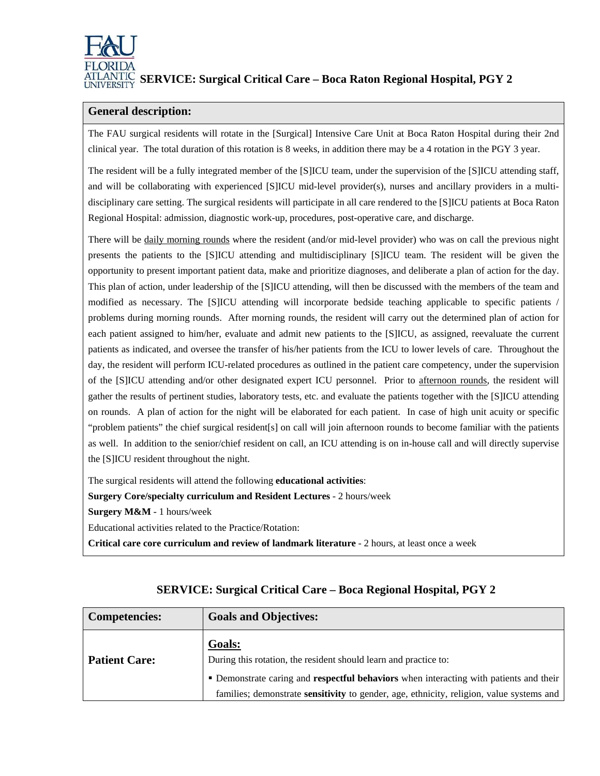

## **SERVICE: Surgical Critical Care – Boca Raton Regional Hospital, PGY 2**

### **General description:**

The FAU surgical residents will rotate in the [Surgical] Intensive Care Unit at Boca Raton Hospital during their 2nd clinical year. The total duration of this rotation is 8 weeks, in addition there may be a 4 rotation in the PGY 3 year.

The resident will be a fully integrated member of the [S]ICU team, under the supervision of the [S]ICU attending staff, and will be collaborating with experienced [S]ICU mid-level provider(s), nurses and ancillary providers in a multidisciplinary care setting. The surgical residents will participate in all care rendered to the [S]ICU patients at Boca Raton Regional Hospital: admission, diagnostic work-up, procedures, post-operative care, and discharge.

There will be daily morning rounds where the resident (and/or mid-level provider) who was on call the previous night presents the patients to the [S]ICU attending and multidisciplinary [S]ICU team. The resident will be given the opportunity to present important patient data, make and prioritize diagnoses, and deliberate a plan of action for the day. This plan of action, under leadership of the [S]ICU attending, will then be discussed with the members of the team and modified as necessary. The [S]ICU attending will incorporate bedside teaching applicable to specific patients / problems during morning rounds. After morning rounds, the resident will carry out the determined plan of action for each patient assigned to him/her, evaluate and admit new patients to the [S]ICU, as assigned, reevaluate the current patients as indicated, and oversee the transfer of his/her patients from the ICU to lower levels of care. Throughout the day, the resident will perform ICU-related procedures as outlined in the patient care competency, under the supervision of the [S]ICU attending and/or other designated expert ICU personnel. Prior to afternoon rounds, the resident will gather the results of pertinent studies, laboratory tests, etc. and evaluate the patients together with the [S]ICU attending on rounds. A plan of action for the night will be elaborated for each patient. In case of high unit acuity or specific "problem patients" the chief surgical resident[s] on call will join afternoon rounds to become familiar with the patients as well. In addition to the senior/chief resident on call, an ICU attending is on in-house call and will directly supervise the [S]ICU resident throughout the night.

The surgical residents will attend the following **educational activities**:

**Surgery Core/specialty curriculum and Resident Lectures** - 2 hours/week

**Surgery M&M** - 1 hours/week

Educational activities related to the Practice/Rotation:

**Critical care core curriculum and review of landmark literature** - 2 hours, at least once a week

| Competencies:        | <b>Goals and Objectives:</b>                                                                    |
|----------------------|-------------------------------------------------------------------------------------------------|
| <b>Patient Care:</b> | Goals:<br>During this rotation, the resident should learn and practice to:                      |
|                      | • Demonstrate caring and respectful behaviors when interacting with patients and their          |
|                      | families; demonstrate <b>sensitivity</b> to gender, age, ethnicity, religion, value systems and |

## **SERVICE: Surgical Critical Care – Boca Regional Hospital, PGY 2**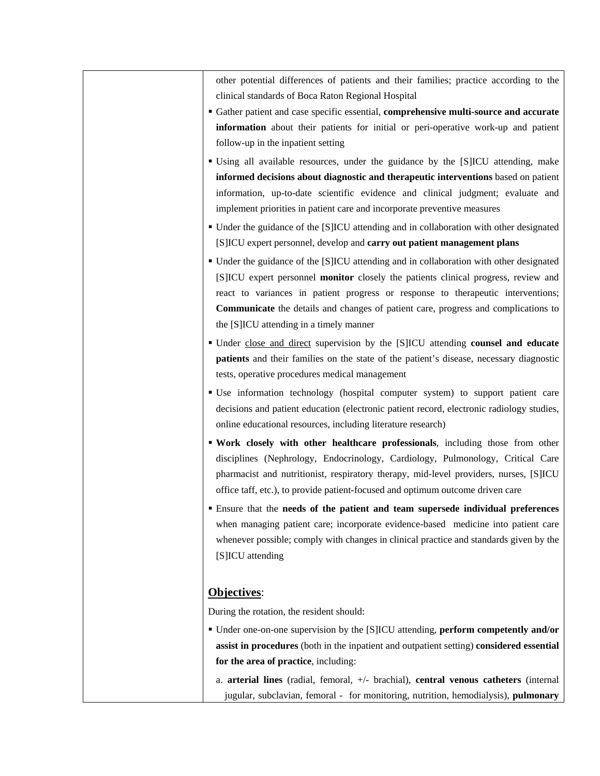other potential differences of patients and their families; practice according to the clinical standards of Boca Raton Regional Hospital

- Gather patient and case specific essential, **comprehensive multi-source and accurate information** about their patients for initial or peri-operative work-up and patient follow-up in the inpatient setting
- Using all available resources, under the guidance by the [S]ICU attending, make **informed decisions about diagnostic and therapeutic interventions** based on patient information, up-to-date scientific evidence and clinical judgment; evaluate and implement priorities in patient care and incorporate preventive measures
- Under the guidance of the [S]ICU attending and in collaboration with other designated [S]ICU expert personnel, develop and **carry out patient management plans**
- Under the guidance of the [S]ICU attending and in collaboration with other designated [S]ICU expert personnel **monitor** closely the patients clinical progress, review and react to variances in patient progress or response to therapeutic interventions; **Communicate** the details and changes of patient care, progress and complications to the [S]ICU attending in a timely manner
- Under close and direct supervision by the [S]ICU attending **counsel and educate patients** and their families on the state of the patient's disease, necessary diagnostic tests, operative procedures medical management
- Use information technology (hospital computer system) to support patient care decisions and patient education (electronic patient record, electronic radiology studies, online educational resources, including literature research)
- **Work closely with other healthcare professionals**, including those from other disciplines (Nephrology, Endocrinology, Cardiology, Pulmonology, Critical Care pharmacist and nutritionist, respiratory therapy, mid-level providers, nurses, [S]ICU office taff, etc.), to provide patient-focused and optimum outcome driven care
- Ensure that the **needs of the patient and team supersede individual preferences** when managing patient care; incorporate evidence-based medicine into patient care whenever possible; comply with changes in clinical practice and standards given by the [S]ICU attending

### **Objectives**:

During the rotation, the resident should:

- Under one-on-one supervision by the [S]ICU attending, **perform competently and/or assist in procedures** (both in the inpatient and outpatient setting) **considered essential for the area of practice**, including:
	- a. **arterial lines** (radial, femoral, +/- brachial), **central venous catheters** (internal jugular, subclavian, femoral - for monitoring, nutrition, hemodialysis), **pulmonary**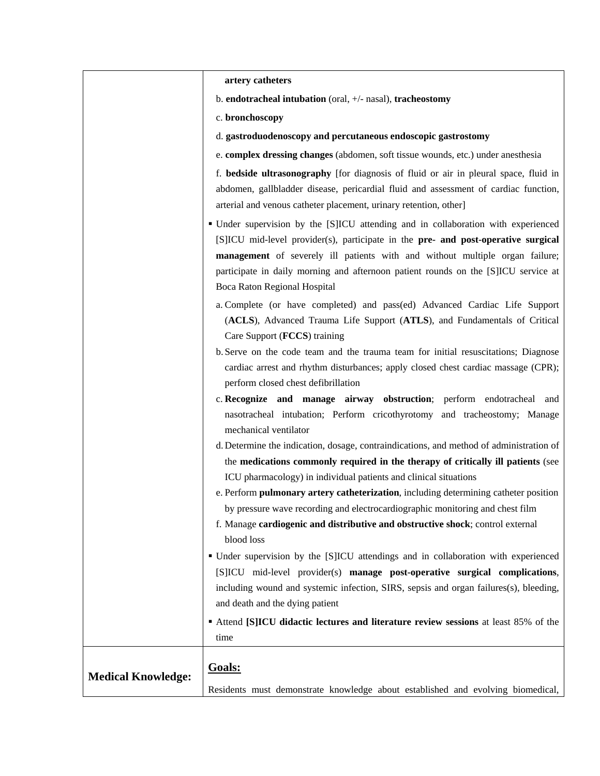|                           | artery catheters                                                                                                                                                                                                                                                                                                                                                                                          |
|---------------------------|-----------------------------------------------------------------------------------------------------------------------------------------------------------------------------------------------------------------------------------------------------------------------------------------------------------------------------------------------------------------------------------------------------------|
|                           | b. endotracheal intubation (oral, +/- nasal), tracheostomy                                                                                                                                                                                                                                                                                                                                                |
|                           | c. bronchoscopy                                                                                                                                                                                                                                                                                                                                                                                           |
|                           | d. gastroduodenoscopy and percutaneous endoscopic gastrostomy                                                                                                                                                                                                                                                                                                                                             |
|                           | e. complex dressing changes (abdomen, soft tissue wounds, etc.) under anesthesia                                                                                                                                                                                                                                                                                                                          |
|                           | f. bedside ultrasonography [for diagnosis of fluid or air in pleural space, fluid in<br>abdomen, gallbladder disease, pericardial fluid and assessment of cardiac function,<br>arterial and venous catheter placement, urinary retention, other]                                                                                                                                                          |
|                           | • Under supervision by the [S]ICU attending and in collaboration with experienced<br>[S]ICU mid-level provider(s), participate in the pre- and post-operative surgical<br>management of severely ill patients with and without multiple organ failure;<br>participate in daily morning and afternoon patient rounds on the [S]ICU service at<br>Boca Raton Regional Hospital                              |
|                           | a. Complete (or have completed) and pass(ed) Advanced Cardiac Life Support<br>(ACLS), Advanced Trauma Life Support (ATLS), and Fundamentals of Critical<br>Care Support (FCCS) training<br>b. Serve on the code team and the trauma team for initial resuscitations; Diagnose<br>cardiac arrest and rhythm disturbances; apply closed chest cardiac massage (CPR);<br>perform closed chest defibrillation |
|                           | c. Recognize and manage airway obstruction; perform endotracheal and<br>nasotracheal intubation; Perform cricothyrotomy and tracheostomy; Manage<br>mechanical ventilator                                                                                                                                                                                                                                 |
|                           | d. Determine the indication, dosage, contraindications, and method of administration of<br>the medications commonly required in the therapy of critically ill patients (see<br>ICU pharmacology) in individual patients and clinical situations                                                                                                                                                           |
|                           | e. Perform pulmonary artery catheterization, including determining catheter position<br>by pressure wave recording and electrocardiographic monitoring and chest film<br>f. Manage cardiogenic and distributive and obstructive shock; control external<br>blood loss                                                                                                                                     |
|                           | • Under supervision by the [S]ICU attendings and in collaboration with experienced<br>[S]ICU mid-level provider(s) manage post-operative surgical complications,<br>including wound and systemic infection, SIRS, sepsis and organ failures(s), bleeding,<br>and death and the dying patient<br>Attend [S]ICU didactic lectures and literature review sessions at least 85% of the                        |
| <b>Medical Knowledge:</b> | time<br>Goals:<br>Residents must demonstrate knowledge about established and evolving biomedical,                                                                                                                                                                                                                                                                                                         |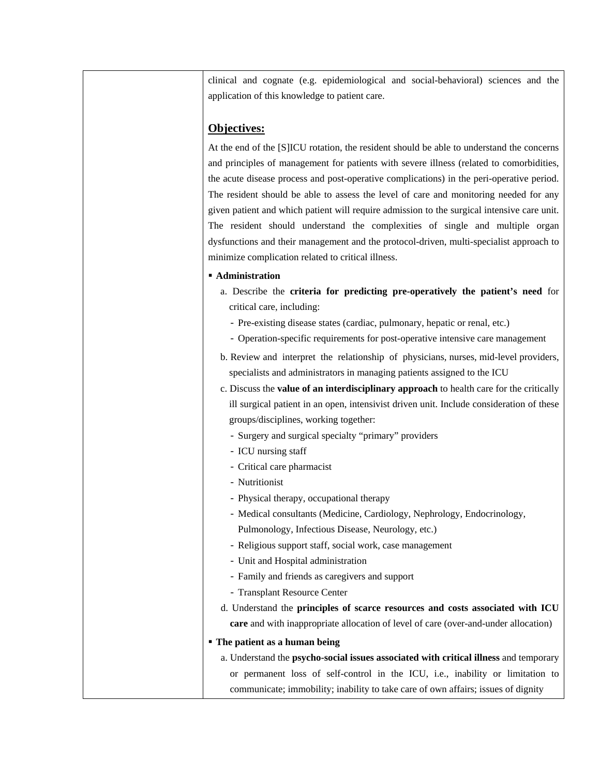clinical and cognate (e.g. epidemiological and social-behavioral) sciences and the application of this knowledge to patient care.

### **Objectives:**

At the end of the [S]ICU rotation, the resident should be able to understand the concerns and principles of management for patients with severe illness (related to comorbidities, the acute disease process and post-operative complications) in the peri-operative period. The resident should be able to assess the level of care and monitoring needed for any given patient and which patient will require admission to the surgical intensive care unit. The resident should understand the complexities of single and multiple organ dysfunctions and their management and the protocol-driven, multi-specialist approach to minimize complication related to critical illness.

#### **Administration**

- a. Describe the **criteria for predicting pre-operatively the patient's need** for critical care, including:
	- Pre-existing disease states (cardiac, pulmonary, hepatic or renal, etc.)
	- Operation-specific requirements for post-operative intensive care management
- b. Review and interpret the relationship of physicians, nurses, mid-level providers, specialists and administrators in managing patients assigned to the ICU
- c. Discuss the **value of an interdisciplinary approach** to health care for the critically ill surgical patient in an open, intensivist driven unit. Include consideration of these groups/disciplines, working together:
	- Surgery and surgical specialty "primary" providers
	- ICU nursing staff
	- Critical care pharmacist
	- Nutritionist
	- Physical therapy, occupational therapy
	- Medical consultants (Medicine, Cardiology, Nephrology, Endocrinology, Pulmonology, Infectious Disease, Neurology, etc.)
	- Religious support staff, social work, case management
	- Unit and Hospital administration
	- Family and friends as caregivers and support
	- Transplant Resource Center
- d. Understand the **principles of scarce resources and costs associated with ICU care** and with inappropriate allocation of level of care (over-and-under allocation)

#### **The patient as a human being**

a. Understand the **psycho-social issues associated with critical illness** and temporary or permanent loss of self-control in the ICU, i.e., inability or limitation to communicate; immobility; inability to take care of own affairs; issues of dignity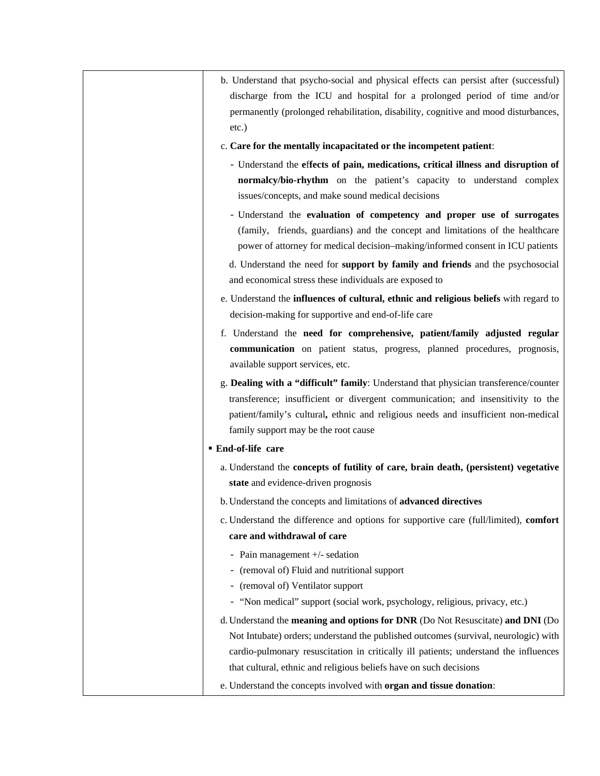|                         | b. Understand that psycho-social and physical effects can persist after (successful)<br>discharge from the ICU and hospital for a prolonged period of time and/or<br>permanently (prolonged rehabilitation, disability, cognitive and mood disturbances, |
|-------------------------|----------------------------------------------------------------------------------------------------------------------------------------------------------------------------------------------------------------------------------------------------------|
| $etc.$ )                |                                                                                                                                                                                                                                                          |
|                         | c. Care for the mentally incapacitated or the incompetent patient:                                                                                                                                                                                       |
|                         | - Understand the effects of pain, medications, critical illness and disruption of                                                                                                                                                                        |
|                         | normalcy/bio-rhythm on the patient's capacity to understand complex                                                                                                                                                                                      |
|                         | issues/concepts, and make sound medical decisions                                                                                                                                                                                                        |
|                         | - Understand the evaluation of competency and proper use of surrogates                                                                                                                                                                                   |
|                         | (family, friends, guardians) and the concept and limitations of the healthcare                                                                                                                                                                           |
|                         | power of attorney for medical decision-making/informed consent in ICU patients                                                                                                                                                                           |
|                         | d. Understand the need for <b>support by family and friends</b> and the psychosocial                                                                                                                                                                     |
|                         | and economical stress these individuals are exposed to                                                                                                                                                                                                   |
|                         | e. Understand the <b>influences of cultural</b> , ethnic and religious beliefs with regard to<br>decision-making for supportive and end-of-life care                                                                                                     |
|                         | f. Understand the need for comprehensive, patient/family adjusted regular                                                                                                                                                                                |
|                         | communication on patient status, progress, planned procedures, prognosis,                                                                                                                                                                                |
|                         | available support services, etc.                                                                                                                                                                                                                         |
|                         | g. Dealing with a "difficult" family: Understand that physician transference/counter                                                                                                                                                                     |
|                         | transference; insufficient or divergent communication; and insensitivity to the                                                                                                                                                                          |
|                         | patient/family's cultural, ethnic and religious needs and insufficient non-medical                                                                                                                                                                       |
|                         | family support may be the root cause                                                                                                                                                                                                                     |
| <b>End-of-life care</b> |                                                                                                                                                                                                                                                          |
|                         | a. Understand the concepts of futility of care, brain death, (persistent) vegetative                                                                                                                                                                     |
|                         | state and evidence-driven prognosis                                                                                                                                                                                                                      |
|                         | b. Understand the concepts and limitations of advanced directives                                                                                                                                                                                        |
|                         | c. Understand the difference and options for supportive care (full/limited), comfort                                                                                                                                                                     |
|                         | care and withdrawal of care                                                                                                                                                                                                                              |
|                         | - Pain management +/- sedation                                                                                                                                                                                                                           |
| -                       | (removal of) Fluid and nutritional support                                                                                                                                                                                                               |
|                         | (removal of) Ventilator support                                                                                                                                                                                                                          |
|                         | - "Non medical" support (social work, psychology, religious, privacy, etc.)                                                                                                                                                                              |
|                         | d. Understand the meaning and options for DNR (Do Not Resuscitate) and DNI (Do                                                                                                                                                                           |
|                         | Not Intubate) orders; understand the published outcomes (survival, neurologic) with                                                                                                                                                                      |
|                         | cardio-pulmonary resuscitation in critically ill patients; understand the influences                                                                                                                                                                     |
|                         | that cultural, ethnic and religious beliefs have on such decisions                                                                                                                                                                                       |
|                         | e. Understand the concepts involved with organ and tissue donation:                                                                                                                                                                                      |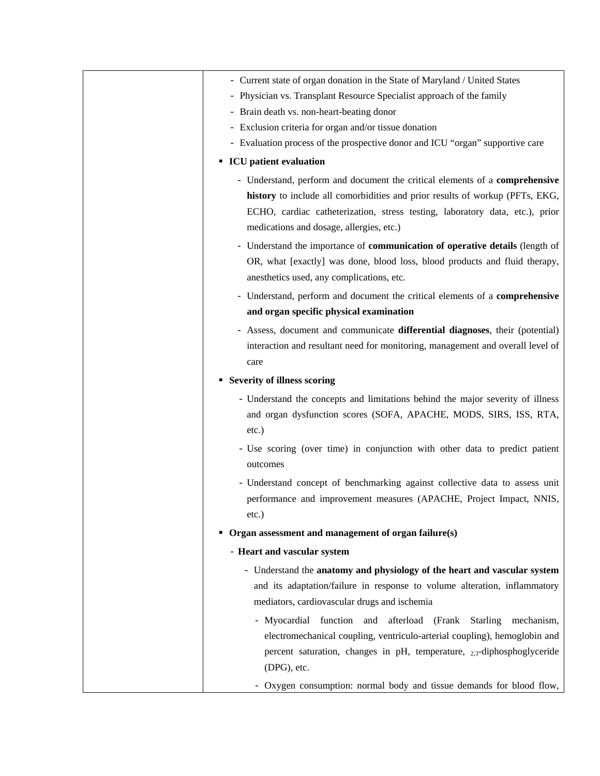| - Current state of organ donation in the State of Maryland / United States                                                                                                                                                                                                                                               |
|--------------------------------------------------------------------------------------------------------------------------------------------------------------------------------------------------------------------------------------------------------------------------------------------------------------------------|
| - Physician vs. Transplant Resource Specialist approach of the family                                                                                                                                                                                                                                                    |
| - Brain death vs. non-heart-beating donor                                                                                                                                                                                                                                                                                |
| - Exclusion criteria for organ and/or tissue donation                                                                                                                                                                                                                                                                    |
| - Evaluation process of the prospective donor and ICU "organ" supportive care                                                                                                                                                                                                                                            |
| <b>ICU</b> patient evaluation                                                                                                                                                                                                                                                                                            |
| - Understand, perform and document the critical elements of a comprehensive<br>history to include all comorbidities and prior results of workup (PFTs, EKG,<br>ECHO, cardiac catheterization, stress testing, laboratory data, etc.), prior<br>medications and dosage, allergies, etc.)                                  |
| - Understand the importance of communication of operative details (length of<br>OR, what [exactly] was done, blood loss, blood products and fluid therapy,<br>anesthetics used, any complications, etc.                                                                                                                  |
| - Understand, perform and document the critical elements of a comprehensive                                                                                                                                                                                                                                              |
| and organ specific physical examination                                                                                                                                                                                                                                                                                  |
|                                                                                                                                                                                                                                                                                                                          |
| - Assess, document and communicate differential diagnoses, their (potential)<br>interaction and resultant need for monitoring, management and overall level of<br>care                                                                                                                                                   |
| • Severity of illness scoring                                                                                                                                                                                                                                                                                            |
| - Understand the concepts and limitations behind the major severity of illness<br>and organ dysfunction scores (SOFA, APACHE, MODS, SIRS, ISS, RTA,<br>etc.)                                                                                                                                                             |
| - Use scoring (over time) in conjunction with other data to predict patient<br>outcomes                                                                                                                                                                                                                                  |
| - Understand concept of benchmarking against collective data to assess unit<br>performance and improvement measures (APACHE, Project Impact, NNIS,<br>$etc.$ )                                                                                                                                                           |
| $\bullet$ Organ assessment and management of organ failure(s)                                                                                                                                                                                                                                                            |
| - Heart and vascular system                                                                                                                                                                                                                                                                                              |
| - Understand the anatomy and physiology of the heart and vascular system<br>and its adaptation/failure in response to volume alteration, inflammatory<br>mediators, cardiovascular drugs and ischemia                                                                                                                    |
| - Myocardial function<br>and afterload (Frank Starling<br>mechanism,<br>electromechanical coupling, ventriculo-arterial coupling), hemoglobin and<br>percent saturation, changes in pH, temperature, $_{2,3}$ -diphosphoglyceride<br>(DPG), etc.<br>- Oxygen consumption: normal body and tissue demands for blood flow, |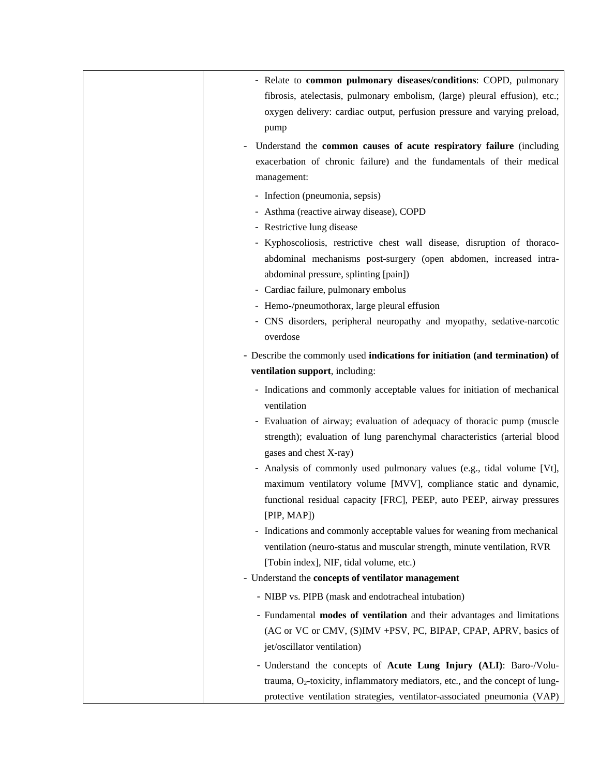| - Relate to common pulmonary diseases/conditions: COPD, pulmonary<br>fibrosis, atelectasis, pulmonary embolism, (large) pleural effusion), etc.;<br>oxygen delivery: cardiac output, perfusion pressure and varying preload,<br>pump                                                                                                                                                                                                                                                                                                                                                                                                                                    |
|-------------------------------------------------------------------------------------------------------------------------------------------------------------------------------------------------------------------------------------------------------------------------------------------------------------------------------------------------------------------------------------------------------------------------------------------------------------------------------------------------------------------------------------------------------------------------------------------------------------------------------------------------------------------------|
| Understand the common causes of acute respiratory failure (including<br>exacerbation of chronic failure) and the fundamentals of their medical<br>management:                                                                                                                                                                                                                                                                                                                                                                                                                                                                                                           |
| - Infection (pneumonia, sepsis)<br>- Asthma (reactive airway disease), COPD<br>- Restrictive lung disease<br>- Kyphoscoliosis, restrictive chest wall disease, disruption of thoraco-<br>abdominal mechanisms post-surgery (open abdomen, increased intra-<br>abdominal pressure, splinting [pain])<br>- Cardiac failure, pulmonary embolus<br>- Hemo-/pneumothorax, large pleural effusion<br>- CNS disorders, peripheral neuropathy and myopathy, sedative-narcotic<br>overdose                                                                                                                                                                                       |
| - Describe the commonly used indications for initiation (and termination) of<br>ventilation support, including:                                                                                                                                                                                                                                                                                                                                                                                                                                                                                                                                                         |
| - Indications and commonly acceptable values for initiation of mechanical<br>ventilation<br>- Evaluation of airway; evaluation of adequacy of thoracic pump (muscle<br>strength); evaluation of lung parenchymal characteristics (arterial blood<br>gases and chest X-ray)<br>- Analysis of commonly used pulmonary values (e.g., tidal volume [Vt],<br>maximum ventilatory volume [MVV], compliance static and dynamic,<br>functional residual capacity [FRC], PEEP, auto PEEP, airway pressures<br>[PIP, MAP]<br>- Indications and commonly acceptable values for weaning from mechanical<br>ventilation (neuro-status and muscular strength, minute ventilation, RVR |
| [Tobin index], NIF, tidal volume, etc.)<br>- Understand the concepts of ventilator management                                                                                                                                                                                                                                                                                                                                                                                                                                                                                                                                                                           |
| - NIBP vs. PIPB (mask and endotracheal intubation)                                                                                                                                                                                                                                                                                                                                                                                                                                                                                                                                                                                                                      |
| - Fundamental modes of ventilation and their advantages and limitations<br>(AC or VC or CMV, (S)IMV +PSV, PC, BIPAP, CPAP, APRV, basics of<br>jet/oscillator ventilation)                                                                                                                                                                                                                                                                                                                                                                                                                                                                                               |
| - Understand the concepts of Acute Lung Injury (ALI): Baro-/Volu-<br>trauma, $O_2$ -toxicity, inflammatory mediators, etc., and the concept of lung-<br>protective ventilation strategies, ventilator-associated pneumonia (VAP)                                                                                                                                                                                                                                                                                                                                                                                                                                        |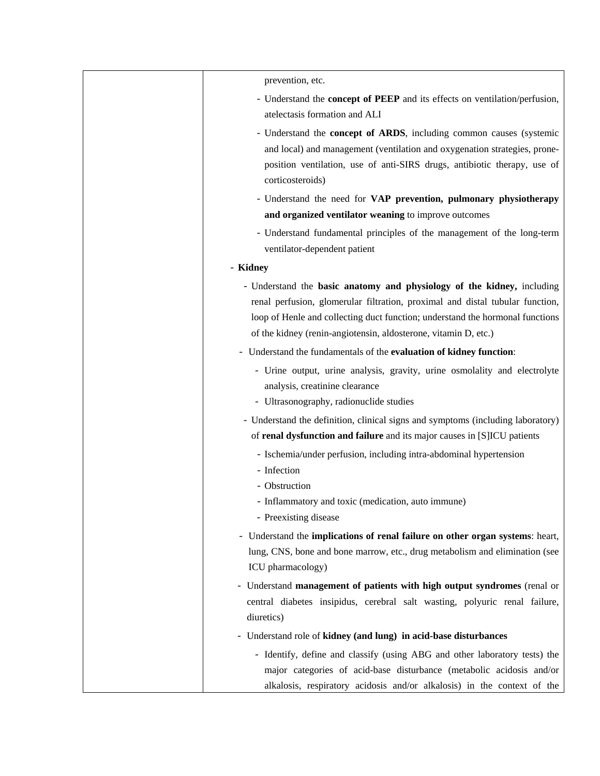| prevention, etc.                                                                                                                                                                                                                                                                                            |
|-------------------------------------------------------------------------------------------------------------------------------------------------------------------------------------------------------------------------------------------------------------------------------------------------------------|
| - Understand the concept of PEEP and its effects on ventilation/perfusion,<br>atelectasis formation and ALI                                                                                                                                                                                                 |
| - Understand the <b>concept of ARDS</b> , including common causes (systemic<br>and local) and management (ventilation and oxygenation strategies, prone-<br>position ventilation, use of anti-SIRS drugs, antibiotic therapy, use of<br>corticosteroids)                                                    |
| - Understand the need for VAP prevention, pulmonary physiotherapy                                                                                                                                                                                                                                           |
| and organized ventilator weaning to improve outcomes                                                                                                                                                                                                                                                        |
| - Understand fundamental principles of the management of the long-term<br>ventilator-dependent patient                                                                                                                                                                                                      |
| - Kidney                                                                                                                                                                                                                                                                                                    |
| - Understand the basic anatomy and physiology of the kidney, including<br>renal perfusion, glomerular filtration, proximal and distal tubular function,<br>loop of Henle and collecting duct function; understand the hormonal functions<br>of the kidney (renin-angiotensin, aldosterone, vitamin D, etc.) |
| - Understand the fundamentals of the evaluation of kidney function:                                                                                                                                                                                                                                         |
| - Urine output, urine analysis, gravity, urine osmolality and electrolyte<br>analysis, creatinine clearance<br>- Ultrasonography, radionuclide studies                                                                                                                                                      |
| - Understand the definition, clinical signs and symptoms (including laboratory)<br>of renal dysfunction and failure and its major causes in [S]ICU patients                                                                                                                                                 |
| - Ischemia/under perfusion, including intra-abdominal hypertension<br>- Infection<br>- Obstruction<br>- Inflammatory and toxic (medication, auto immune)<br>- Preexisting disease                                                                                                                           |
| - Understand the implications of renal failure on other organ systems: heart,<br>lung, CNS, bone and bone marrow, etc., drug metabolism and elimination (see<br>ICU pharmacology)                                                                                                                           |
| - Understand management of patients with high output syndromes (renal or<br>central diabetes insipidus, cerebral salt wasting, polyuric renal failure,<br>diuretics)                                                                                                                                        |
| - Understand role of kidney (and lung) in acid-base disturbances                                                                                                                                                                                                                                            |
| - Identify, define and classify (using ABG and other laboratory tests) the<br>major categories of acid-base disturbance (metabolic acidosis and/or<br>alkalosis, respiratory acidosis and/or alkalosis) in the context of the                                                                               |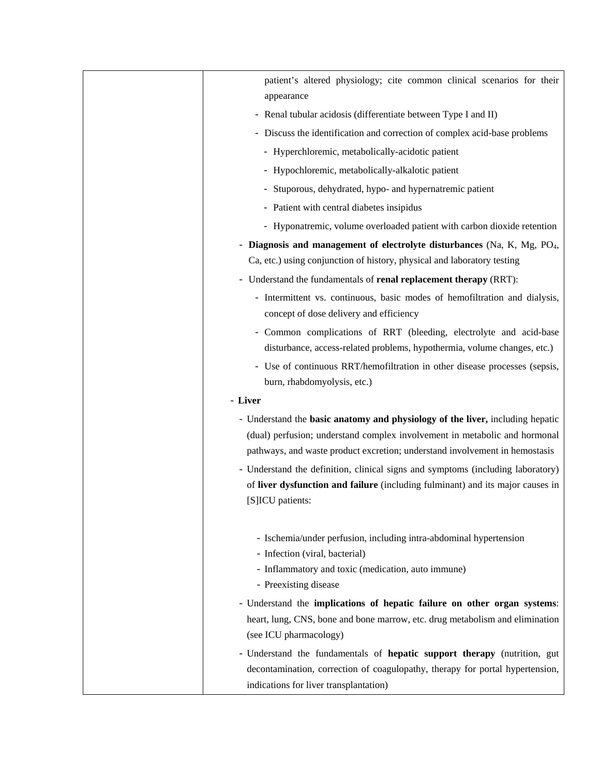| patient's altered physiology; cite common clinical scenarios for their                                                                                                                              |
|-----------------------------------------------------------------------------------------------------------------------------------------------------------------------------------------------------|
| appearance                                                                                                                                                                                          |
| - Renal tubular acidosis (differentiate between Type I and II)                                                                                                                                      |
| - Discuss the identification and correction of complex acid-base problems                                                                                                                           |
| - Hyperchloremic, metabolically-acidotic patient                                                                                                                                                    |
| - Hypochloremic, metabolically-alkalotic patient                                                                                                                                                    |
| - Stuporous, dehydrated, hypo- and hypernatremic patient                                                                                                                                            |
| - Patient with central diabetes insipidus                                                                                                                                                           |
| - Hyponatremic, volume overloaded patient with carbon dioxide retention                                                                                                                             |
| - Diagnosis and management of electrolyte disturbances (Na, K, Mg, PO <sub>4</sub> ,                                                                                                                |
| Ca, etc.) using conjunction of history, physical and laboratory testing                                                                                                                             |
| - Understand the fundamentals of renal replacement therapy (RRT):                                                                                                                                   |
| - Intermittent vs. continuous, basic modes of hemofiltration and dialysis,<br>concept of dose delivery and efficiency                                                                               |
| - Common complications of RRT (bleeding, electrolyte and acid-base<br>disturbance, access-related problems, hypothermia, volume changes, etc.)                                                      |
| - Use of continuous RRT/hemofiltration in other disease processes (sepsis,                                                                                                                          |
| burn, rhabdomyolysis, etc.)                                                                                                                                                                         |
| - Liver                                                                                                                                                                                             |
| - Understand the basic anatomy and physiology of the liver, including hepatic                                                                                                                       |
| (dual) perfusion; understand complex involvement in metabolic and hormonal<br>pathways, and waste product excretion; understand involvement in hemostasis                                           |
| - Understand the definition, clinical signs and symptoms (including laboratory)<br>of liver dysfunction and failure (including fulminant) and its major causes in<br>[S]ICU patients:               |
| - Ischemia/under perfusion, including intra-abdominal hypertension<br>- Infection (viral, bacterial)                                                                                                |
| - Inflammatory and toxic (medication, auto immune)                                                                                                                                                  |
| - Preexisting disease                                                                                                                                                                               |
| - Understand the implications of hepatic failure on other organ systems:<br>heart, lung, CNS, bone and bone marrow, etc. drug metabolism and elimination<br>(see ICU pharmacology)                  |
| - Understand the fundamentals of hepatic support therapy (nutrition, gut<br>decontamination, correction of coagulopathy, therapy for portal hypertension,<br>indications for liver transplantation) |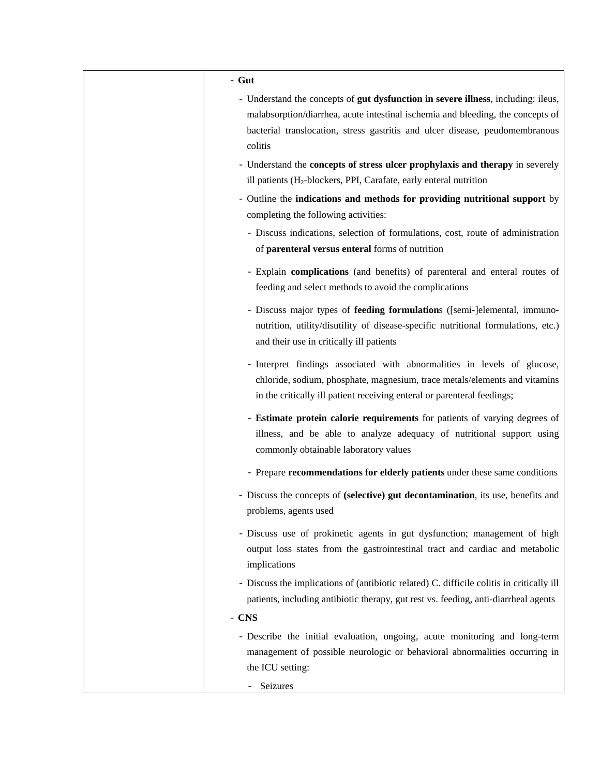| $-$ Gut                                                                                                                                                                                                                                                         |
|-----------------------------------------------------------------------------------------------------------------------------------------------------------------------------------------------------------------------------------------------------------------|
| - Understand the concepts of gut dysfunction in severe illness, including: ileus,<br>malabsorption/diarrhea, acute intestinal ischemia and bleeding, the concepts of<br>bacterial translocation, stress gastritis and ulcer disease, peudomembranous<br>colitis |
| - Understand the concepts of stress ulcer prophylaxis and therapy in severely<br>ill patients (H <sub>2</sub> -blockers, PPI, Carafate, early enteral nutrition                                                                                                 |
| - Outline the indications and methods for providing nutritional support by<br>completing the following activities:                                                                                                                                              |
| - Discuss indications, selection of formulations, cost, route of administration<br>of parenteral versus enteral forms of nutrition                                                                                                                              |
| - Explain complications (and benefits) of parenteral and enteral routes of<br>feeding and select methods to avoid the complications                                                                                                                             |
| - Discuss major types of feeding formulations ([semi-]elemental, immuno-<br>nutrition, utility/disutility of disease-specific nutritional formulations, etc.)<br>and their use in critically ill patients                                                       |
| - Interpret findings associated with abnormalities in levels of glucose,<br>chloride, sodium, phosphate, magnesium, trace metals/elements and vitamins<br>in the critically ill patient receiving enteral or parenteral feedings;                               |
| - Estimate protein calorie requirements for patients of varying degrees of<br>illness, and be able to analyze adequacy of nutritional support using<br>commonly obtainable laboratory values                                                                    |
| - Prepare recommendations for elderly patients under these same conditions                                                                                                                                                                                      |
| - Discuss the concepts of (selective) gut decontamination, its use, benefits and<br>problems, agents used                                                                                                                                                       |
| - Discuss use of prokinetic agents in gut dysfunction; management of high<br>output loss states from the gastrointestinal tract and cardiac and metabolic<br>implications                                                                                       |
| - Discuss the implications of (antibiotic related) C. difficile colitis in critically ill<br>patients, including antibiotic therapy, gut rest vs. feeding, anti-diarrheal agents                                                                                |
| $-$ CNS                                                                                                                                                                                                                                                         |
| - Describe the initial evaluation, ongoing, acute monitoring and long-term<br>management of possible neurologic or behavioral abnormalities occurring in<br>the ICU setting:                                                                                    |
| Seizures                                                                                                                                                                                                                                                        |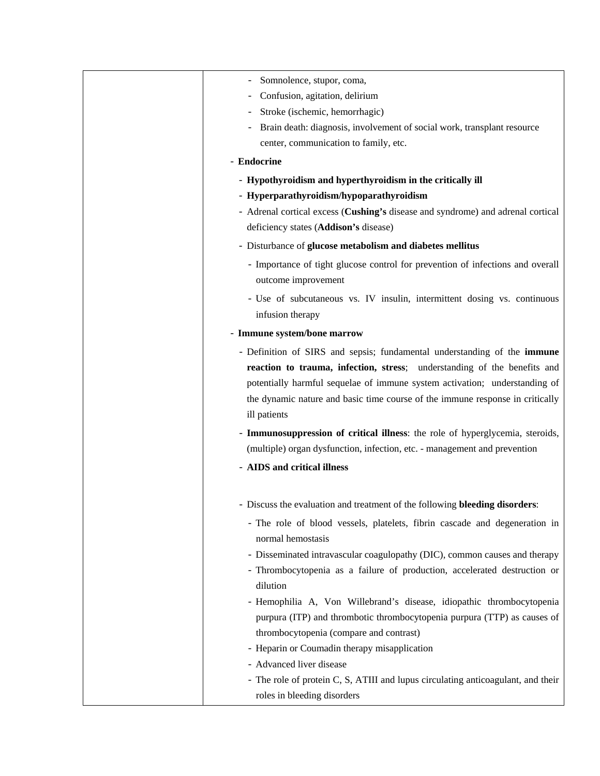| Somnolence, stupor, coma,                                                        |
|----------------------------------------------------------------------------------|
| Confusion, agitation, delirium                                                   |
| Stroke (ischemic, hemorrhagic)                                                   |
| Brain death: diagnosis, involvement of social work, transplant resource          |
| center, communication to family, etc.                                            |
| - Endocrine                                                                      |
| - Hypothyroidism and hyperthyroidism in the critically ill                       |
| - Hyperparathyroidism/hypoparathyroidism                                         |
| - Adrenal cortical excess (Cushing's disease and syndrome) and adrenal cortical  |
| deficiency states (Addison's disease)                                            |
| - Disturbance of glucose metabolism and diabetes mellitus                        |
| - Importance of tight glucose control for prevention of infections and overall   |
| outcome improvement                                                              |
| - Use of subcutaneous vs. IV insulin, intermittent dosing vs. continuous         |
| infusion therapy                                                                 |
| - Immune system/bone marrow                                                      |
| - Definition of SIRS and sepsis; fundamental understanding of the immune         |
| reaction to trauma, infection, stress; understanding of the benefits and         |
| potentially harmful sequelae of immune system activation; understanding of       |
| the dynamic nature and basic time course of the immune response in critically    |
| ill patients                                                                     |
| - Immunosuppression of critical illness: the role of hyperglycemia, steroids,    |
| (multiple) organ dysfunction, infection, etc. - management and prevention        |
| - AIDS and critical illness                                                      |
|                                                                                  |
| - Discuss the evaluation and treatment of the following bleeding disorders:      |
| - The role of blood vessels, platelets, fibrin cascade and degeneration in       |
| normal hemostasis                                                                |
| - Disseminated intravascular coagulopathy (DIC), common causes and therapy       |
| - Thrombocytopenia as a failure of production, accelerated destruction or        |
| dilution                                                                         |
| - Hemophilia A, Von Willebrand's disease, idiopathic thrombocytopenia            |
| purpura (ITP) and thrombotic thrombocytopenia purpura (TTP) as causes of         |
| thrombocytopenia (compare and contrast)                                          |
| - Heparin or Coumadin therapy misapplication                                     |
| - Advanced liver disease                                                         |
| - The role of protein C, S, ATIII and lupus circulating anticoagulant, and their |
| roles in bleeding disorders                                                      |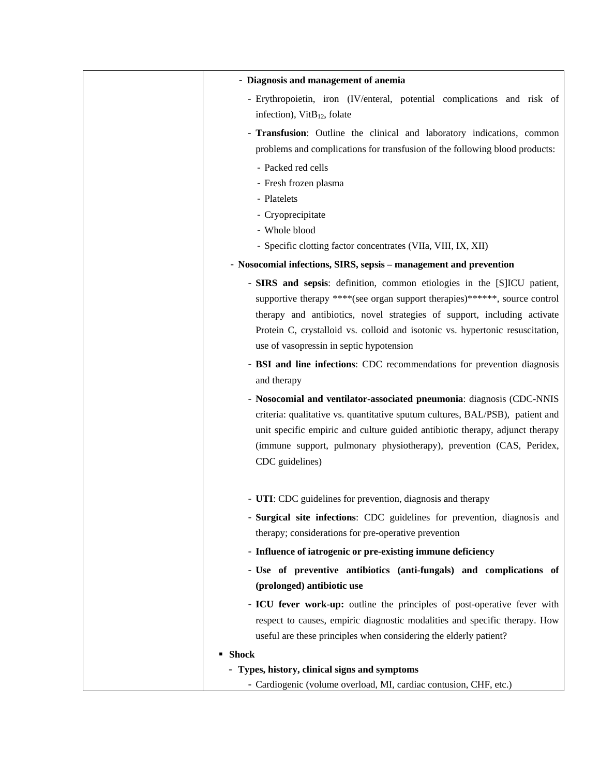| - Diagnosis and management of anemia                                                                                                                                                                                                                                                                                                                           |
|----------------------------------------------------------------------------------------------------------------------------------------------------------------------------------------------------------------------------------------------------------------------------------------------------------------------------------------------------------------|
| - Erythropoietin, iron (IV/enteral, potential complications and risk of<br>infection), $VitB12$ , folate                                                                                                                                                                                                                                                       |
| - Transfusion: Outline the clinical and laboratory indications, common<br>problems and complications for transfusion of the following blood products:                                                                                                                                                                                                          |
| - Packed red cells                                                                                                                                                                                                                                                                                                                                             |
| - Fresh frozen plasma                                                                                                                                                                                                                                                                                                                                          |
| - Platelets                                                                                                                                                                                                                                                                                                                                                    |
| - Cryoprecipitate                                                                                                                                                                                                                                                                                                                                              |
| - Whole blood<br>- Specific clotting factor concentrates (VIIa, VIII, IX, XII)                                                                                                                                                                                                                                                                                 |
| - Nosocomial infections, SIRS, sepsis - management and prevention                                                                                                                                                                                                                                                                                              |
|                                                                                                                                                                                                                                                                                                                                                                |
| - SIRS and sepsis: definition, common etiologies in the [S]ICU patient,<br>supportive therapy ****(see organ support therapies)******, source control<br>therapy and antibiotics, novel strategies of support, including activate<br>Protein C, crystalloid vs. colloid and isotonic vs. hypertonic resuscitation,<br>use of vasopressin in septic hypotension |
| - BSI and line infections: CDC recommendations for prevention diagnosis                                                                                                                                                                                                                                                                                        |
| and therapy                                                                                                                                                                                                                                                                                                                                                    |
| - Nosocomial and ventilator-associated pneumonia: diagnosis (CDC-NNIS<br>criteria: qualitative vs. quantitative sputum cultures, BAL/PSB), patient and<br>unit specific empiric and culture guided antibiotic therapy, adjunct therapy<br>(immune support, pulmonary physiotherapy), prevention (CAS, Peridex,<br>CDC guidelines)                              |
| - UTI: CDC guidelines for prevention, diagnosis and therapy                                                                                                                                                                                                                                                                                                    |
| - Surgical site infections: CDC guidelines for prevention, diagnosis and<br>therapy; considerations for pre-operative prevention                                                                                                                                                                                                                               |
| - Influence of iatrogenic or pre-existing immune deficiency                                                                                                                                                                                                                                                                                                    |
| - Use of preventive antibiotics (anti-fungals) and complications of<br>(prolonged) antibiotic use                                                                                                                                                                                                                                                              |
| - ICU fever work-up: outline the principles of post-operative fever with<br>respect to causes, empiric diagnostic modalities and specific therapy. How<br>useful are these principles when considering the elderly patient?                                                                                                                                    |
| ■ Shock                                                                                                                                                                                                                                                                                                                                                        |
| - Types, history, clinical signs and symptoms                                                                                                                                                                                                                                                                                                                  |
| - Cardiogenic (volume overload, MI, cardiac contusion, CHF, etc.)                                                                                                                                                                                                                                                                                              |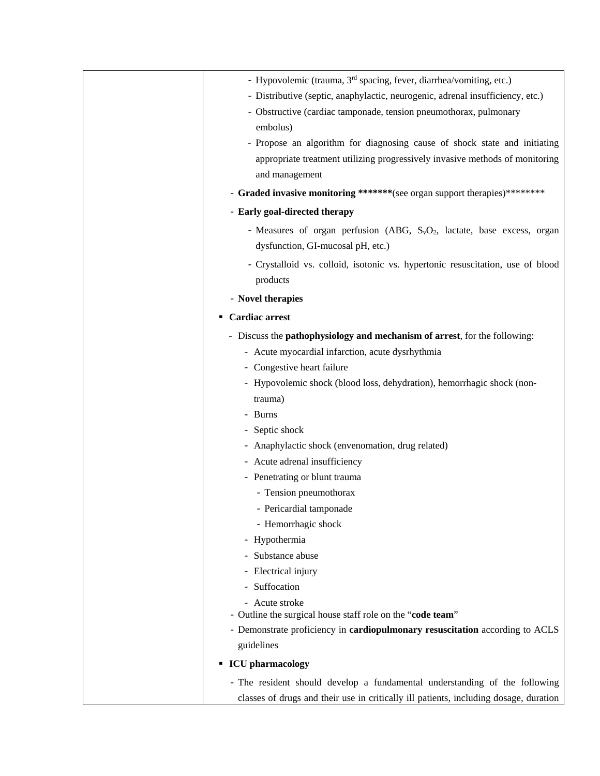| - Hypovolemic (trauma, 3 <sup>rd</sup> spacing, fever, diarrhea/vomiting, etc.)       |
|---------------------------------------------------------------------------------------|
| - Distributive (septic, anaphylactic, neurogenic, adrenal insufficiency, etc.)        |
| - Obstructive (cardiac tamponade, tension pneumothorax, pulmonary                     |
| embolus)                                                                              |
| - Propose an algorithm for diagnosing cause of shock state and initiating             |
| appropriate treatment utilizing progressively invasive methods of monitoring          |
| and management                                                                        |
| - Graded invasive monitoring *******(see organ support therapies)*********            |
| - Early goal-directed therapy                                                         |
| - Measures of organ perfusion (ABG, $S_vO_2$ , lactate, base excess, organ            |
| dysfunction, GI-mucosal pH, etc.)                                                     |
| - Crystalloid vs. colloid, isotonic vs. hypertonic resuscitation, use of blood        |
|                                                                                       |
| products                                                                              |
| - Novel therapies                                                                     |
| <b>Cardiac arrest</b><br>٠                                                            |
| - Discuss the <b>pathophysiology and mechanism of arrest</b> , for the following:     |
| - Acute myocardial infarction, acute dysrhythmia                                      |
| - Congestive heart failure                                                            |
| - Hypovolemic shock (blood loss, dehydration), hemorrhagic shock (non-                |
| trauma)                                                                               |
| - Burns                                                                               |
| - Septic shock                                                                        |
| - Anaphylactic shock (envenomation, drug related)                                     |
| - Acute adrenal insufficiency                                                         |
| - Penetrating or blunt trauma                                                         |
| - Tension pneumothorax                                                                |
| - Pericardial tamponade                                                               |
| - Hemorrhagic shock                                                                   |
| - Hypothermia                                                                         |
| - Substance abuse                                                                     |
| - Electrical injury                                                                   |
| - Suffocation                                                                         |
| - Acute stroke                                                                        |
| - Outline the surgical house staff role on the "code team"                            |
| - Demonstrate proficiency in cardiopulmonary resuscitation according to ACLS          |
| guidelines                                                                            |
| <b>ICU</b> pharmacology                                                               |
| - The resident should develop a fundamental understanding of the following            |
| classes of drugs and their use in critically ill patients, including dosage, duration |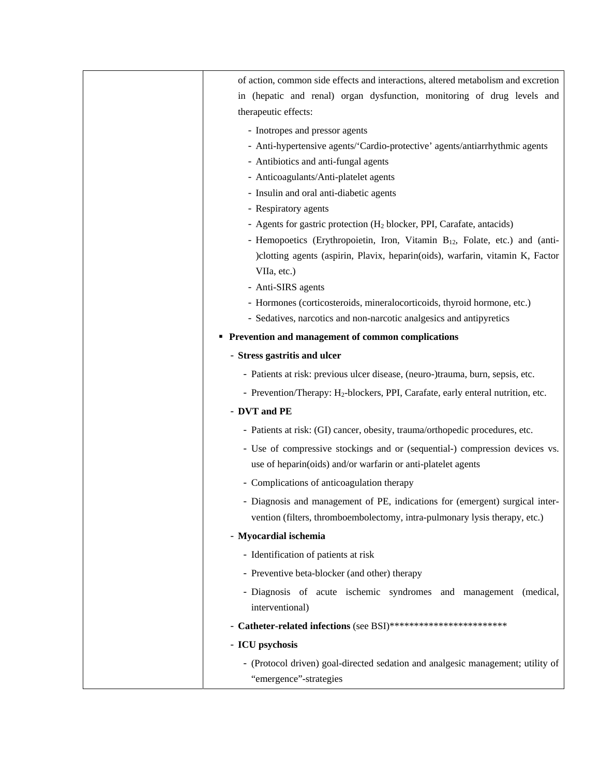| of action, common side effects and interactions, altered metabolism and excretion            |
|----------------------------------------------------------------------------------------------|
| in (hepatic and renal) organ dysfunction, monitoring of drug levels and                      |
| therapeutic effects:                                                                         |
| - Inotropes and pressor agents                                                               |
| - Anti-hypertensive agents/'Cardio-protective' agents/antiarrhythmic agents                  |
| - Antibiotics and anti-fungal agents                                                         |
| - Anticoagulants/Anti-platelet agents                                                        |
| - Insulin and oral anti-diabetic agents                                                      |
| - Respiratory agents                                                                         |
| - Agents for gastric protection $(H_2 \text{ blocker}, PPI, Carafate, antacids)$             |
| - Hemopoetics (Erythropoietin, Iron, Vitamin $B_{12}$ , Folate, etc.) and (anti-             |
| ) clotting agents (aspirin, Plavix, heparin(oids), warfarin, vitamin K, Factor               |
| VIIa, etc.)                                                                                  |
| - Anti-SIRS agents                                                                           |
| - Hormones (corticosteroids, mineralocorticoids, thyroid hormone, etc.)                      |
| - Sedatives, narcotics and non-narcotic analgesics and antipyretics                          |
| • Prevention and management of common complications                                          |
| - Stress gastritis and ulcer                                                                 |
| - Patients at risk: previous ulcer disease, (neuro-)trauma, burn, sepsis, etc.               |
| - Prevention/Therapy: H <sub>2</sub> -blockers, PPI, Carafate, early enteral nutrition, etc. |
| - DVT and PE                                                                                 |
| - Patients at risk: (GI) cancer, obesity, trauma/orthopedic procedures, etc.                 |
| - Use of compressive stockings and or (sequential-) compression devices vs.                  |
| use of heparin(oids) and/or warfarin or anti-platelet agents                                 |
| - Complications of anticoagulation therapy                                                   |
| - Diagnosis and management of PE, indications for (emergent) surgical inter-                 |
| vention (filters, thromboembolectomy, intra-pulmonary lysis therapy, etc.)                   |
| - Myocardial ischemia                                                                        |
| - Identification of patients at risk                                                         |
| - Preventive beta-blocker (and other) therapy                                                |
| - Diagnosis of acute ischemic syndromes and management (medical,                             |
| interventional)                                                                              |
| - Catheter-related infections (see BSI)*************************                             |
| - ICU psychosis                                                                              |
| - (Protocol driven) goal-directed sedation and analgesic management; utility of              |
| "emergence"-strategies                                                                       |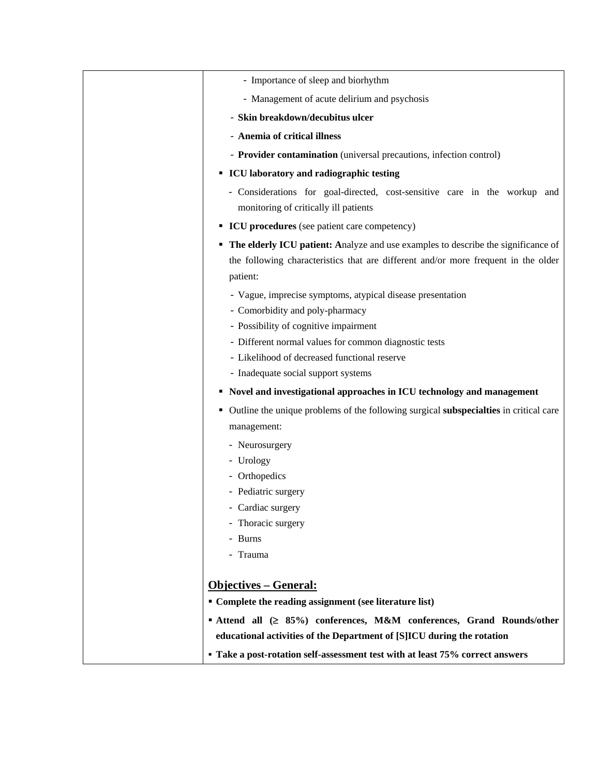| - Importance of sleep and biorhythm                                                                                                                                                   |
|---------------------------------------------------------------------------------------------------------------------------------------------------------------------------------------|
| - Management of acute delirium and psychosis                                                                                                                                          |
| - Skin breakdown/decubitus ulcer                                                                                                                                                      |
| - Anemia of critical illness                                                                                                                                                          |
| - Provider contamination (universal precautions, infection control)                                                                                                                   |
| <b>ICU</b> laboratory and radiographic testing                                                                                                                                        |
| - Considerations for goal-directed, cost-sensitive care in the workup and<br>monitoring of critically ill patients                                                                    |
| • ICU procedures (see patient care competency)                                                                                                                                        |
| • The elderly ICU patient: Analyze and use examples to describe the significance of<br>the following characteristics that are different and/or more frequent in the older<br>patient: |
| - Vague, imprecise symptoms, atypical disease presentation<br>- Comorbidity and poly-pharmacy<br>- Possibility of cognitive impairment                                                |
| - Different normal values for common diagnostic tests                                                                                                                                 |
| - Likelihood of decreased functional reserve                                                                                                                                          |
| - Inadequate social support systems                                                                                                                                                   |
| • Novel and investigational approaches in ICU technology and management                                                                                                               |
| • Outline the unique problems of the following surgical subspecialties in critical care<br>management:                                                                                |
| - Neurosurgery                                                                                                                                                                        |
| - Urology                                                                                                                                                                             |
| - Orthopedics                                                                                                                                                                         |
| - Pediatric surgery                                                                                                                                                                   |
| Cardiac surgery                                                                                                                                                                       |
| - Thoracic surgery                                                                                                                                                                    |
| - Burns                                                                                                                                                                               |
| - Trauma                                                                                                                                                                              |
| <b>Objectives – General:</b>                                                                                                                                                          |
| • Complete the reading assignment (see literature list)                                                                                                                               |
| ■ Attend all (≥ 85%) conferences, M&M conferences, Grand Rounds/other                                                                                                                 |
| educational activities of the Department of [S]ICU during the rotation                                                                                                                |
| • Take a post-rotation self-assessment test with at least 75% correct answers                                                                                                         |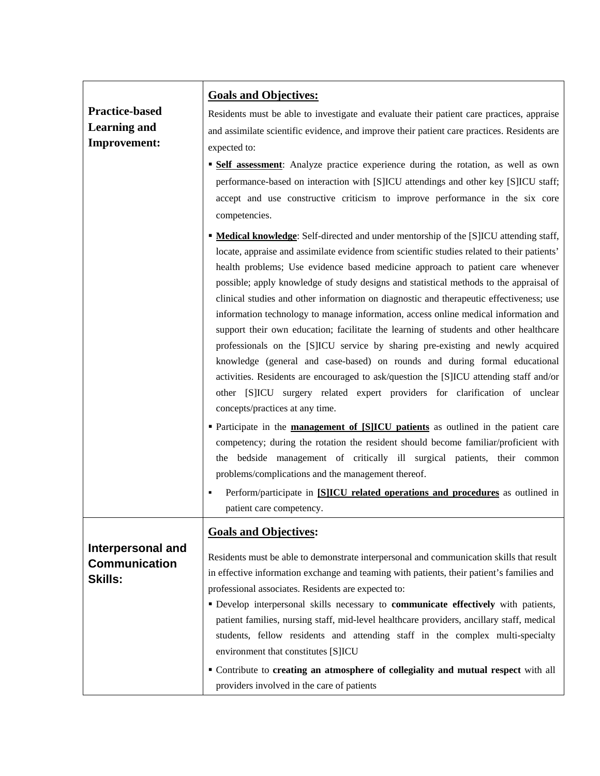|                                                             | <b>Goals and Objectives:</b>                                                                                                                                                                                                                                                                                                                                                                                                                                                                                                                          |
|-------------------------------------------------------------|-------------------------------------------------------------------------------------------------------------------------------------------------------------------------------------------------------------------------------------------------------------------------------------------------------------------------------------------------------------------------------------------------------------------------------------------------------------------------------------------------------------------------------------------------------|
| <b>Practice-based</b>                                       | Residents must be able to investigate and evaluate their patient care practices, appraise                                                                                                                                                                                                                                                                                                                                                                                                                                                             |
| <b>Learning and</b>                                         | and assimilate scientific evidence, and improve their patient care practices. Residents are                                                                                                                                                                                                                                                                                                                                                                                                                                                           |
| <b>Improvement:</b>                                         | expected to:                                                                                                                                                                                                                                                                                                                                                                                                                                                                                                                                          |
|                                                             | <b>Self assessment:</b> Analyze practice experience during the rotation, as well as own                                                                                                                                                                                                                                                                                                                                                                                                                                                               |
|                                                             | performance-based on interaction with [S]ICU attendings and other key [S]ICU staff;                                                                                                                                                                                                                                                                                                                                                                                                                                                                   |
|                                                             | accept and use constructive criticism to improve performance in the six core                                                                                                                                                                                                                                                                                                                                                                                                                                                                          |
|                                                             | competencies.                                                                                                                                                                                                                                                                                                                                                                                                                                                                                                                                         |
|                                                             | <b>• Medical knowledge:</b> Self-directed and under mentorship of the [S]ICU attending staff,<br>locate, appraise and assimilate evidence from scientific studies related to their patients'<br>health problems; Use evidence based medicine approach to patient care whenever<br>possible; apply knowledge of study designs and statistical methods to the appraisal of<br>clinical studies and other information on diagnostic and therapeutic effectiveness; use                                                                                   |
|                                                             | information technology to manage information, access online medical information and<br>support their own education; facilitate the learning of students and other healthcare<br>professionals on the [S]ICU service by sharing pre-existing and newly acquired                                                                                                                                                                                                                                                                                        |
|                                                             | knowledge (general and case-based) on rounds and during formal educational<br>activities. Residents are encouraged to ask/question the [S]ICU attending staff and/or<br>other [S]ICU surgery related expert providers for clarification of unclear<br>concepts/practices at any time.                                                                                                                                                                                                                                                                 |
|                                                             | • Participate in the <b>management of SIICU</b> patients as outlined in the patient care<br>competency; during the rotation the resident should become familiar/proficient with<br>the bedside management of critically ill surgical patients, their common<br>problems/complications and the management thereof.<br>Perform/participate in [S]ICU related operations and procedures as outlined in                                                                                                                                                   |
|                                                             | patient care competency.                                                                                                                                                                                                                                                                                                                                                                                                                                                                                                                              |
|                                                             | <b>Goals and Objectives:</b>                                                                                                                                                                                                                                                                                                                                                                                                                                                                                                                          |
| Interpersonal and<br><b>Communication</b><br><b>Skills:</b> | Residents must be able to demonstrate interpersonal and communication skills that result<br>in effective information exchange and teaming with patients, their patient's families and<br>professional associates. Residents are expected to:<br>Develop interpersonal skills necessary to communicate effectively with patients,<br>patient families, nursing staff, mid-level healthcare providers, ancillary staff, medical<br>students, fellow residents and attending staff in the complex multi-specialty<br>environment that constitutes [S]ICU |
|                                                             | " Contribute to creating an atmosphere of collegiality and mutual respect with all<br>providers involved in the care of patients                                                                                                                                                                                                                                                                                                                                                                                                                      |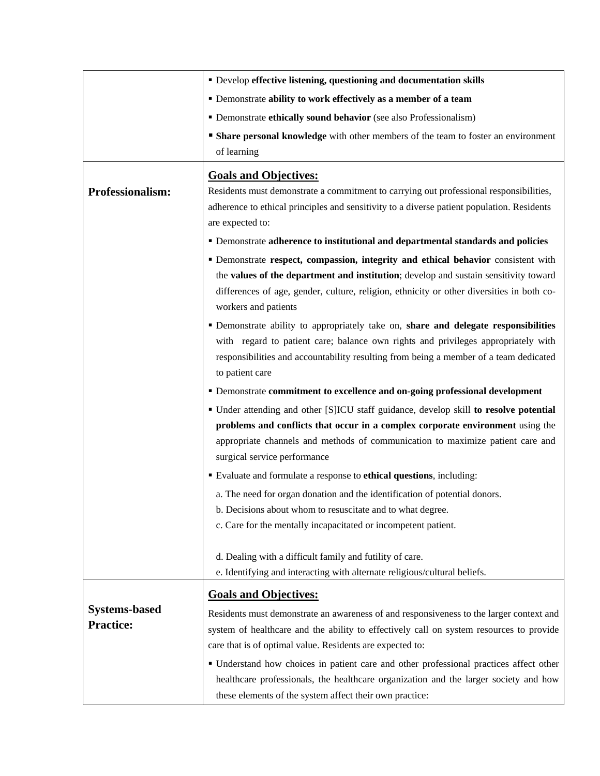|                      | " Develop effective listening, questioning and documentation skills                                                                      |  |  |  |
|----------------------|------------------------------------------------------------------------------------------------------------------------------------------|--|--|--|
|                      | • Demonstrate ability to work effectively as a member of a team                                                                          |  |  |  |
|                      | • Demonstrate ethically sound behavior (see also Professionalism)                                                                        |  |  |  |
|                      | <b>Share personal knowledge</b> with other members of the team to foster an environment                                                  |  |  |  |
|                      | of learning                                                                                                                              |  |  |  |
|                      | <b>Goals and Objectives:</b>                                                                                                             |  |  |  |
| Professionalism:     | Residents must demonstrate a commitment to carrying out professional responsibilities,                                                   |  |  |  |
|                      | adherence to ethical principles and sensitivity to a diverse patient population. Residents                                               |  |  |  |
|                      | are expected to:                                                                                                                         |  |  |  |
|                      | • Demonstrate adherence to institutional and departmental standards and policies                                                         |  |  |  |
|                      | " Demonstrate respect, compassion, integrity and ethical behavior consistent with                                                        |  |  |  |
|                      | the values of the department and institution; develop and sustain sensitivity toward                                                     |  |  |  |
|                      | differences of age, gender, culture, religion, ethnicity or other diversities in both co-                                                |  |  |  |
|                      | workers and patients                                                                                                                     |  |  |  |
|                      | • Demonstrate ability to appropriately take on, share and delegate responsibilities                                                      |  |  |  |
|                      | with regard to patient care; balance own rights and privileges appropriately with                                                        |  |  |  |
|                      | responsibilities and accountability resulting from being a member of a team dedicated                                                    |  |  |  |
|                      | to patient care                                                                                                                          |  |  |  |
|                      | • Demonstrate commitment to excellence and on-going professional development                                                             |  |  |  |
|                      | • Under attending and other [S]ICU staff guidance, develop skill to resolve potential                                                    |  |  |  |
|                      | problems and conflicts that occur in a complex corporate environment using the                                                           |  |  |  |
|                      | appropriate channels and methods of communication to maximize patient care and<br>surgical service performance                           |  |  |  |
|                      | Evaluate and formulate a response to ethical questions, including:                                                                       |  |  |  |
|                      |                                                                                                                                          |  |  |  |
|                      | a. The need for organ donation and the identification of potential donors.<br>b. Decisions about whom to resuscitate and to what degree. |  |  |  |
|                      | c. Care for the mentally incapacitated or incompetent patient.                                                                           |  |  |  |
|                      |                                                                                                                                          |  |  |  |
|                      | d. Dealing with a difficult family and futility of care.                                                                                 |  |  |  |
|                      | e. Identifying and interacting with alternate religious/cultural beliefs.                                                                |  |  |  |
|                      | <b>Goals and Objectives:</b>                                                                                                             |  |  |  |
| <b>Systems-based</b> | Residents must demonstrate an awareness of and responsiveness to the larger context and                                                  |  |  |  |
| <b>Practice:</b>     | system of healthcare and the ability to effectively call on system resources to provide                                                  |  |  |  |
|                      | care that is of optimal value. Residents are expected to:                                                                                |  |  |  |
|                      | • Understand how choices in patient care and other professional practices affect other                                                   |  |  |  |
|                      | healthcare professionals, the healthcare organization and the larger society and how                                                     |  |  |  |
|                      | these elements of the system affect their own practice:                                                                                  |  |  |  |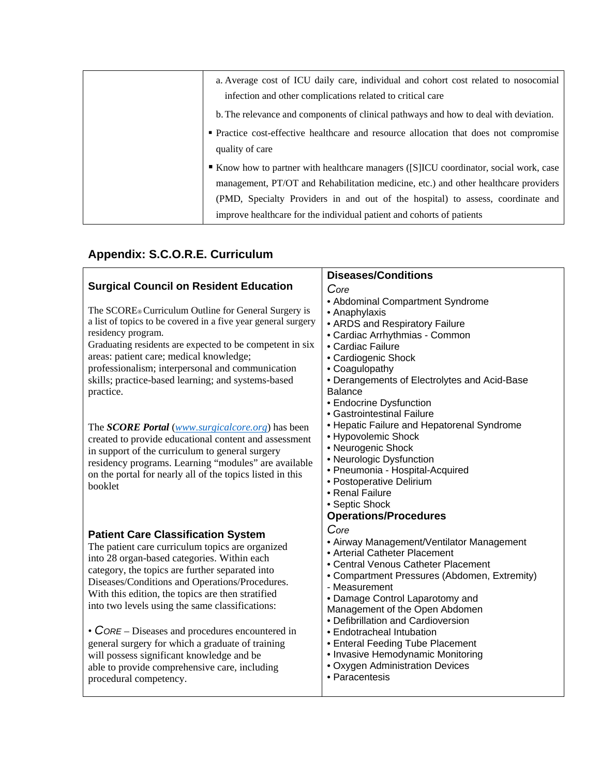| a. Average cost of ICU daily care, individual and cohort cost related to nosocomial<br>infection and other complications related to critical care                                                                                                                                                                                      |
|----------------------------------------------------------------------------------------------------------------------------------------------------------------------------------------------------------------------------------------------------------------------------------------------------------------------------------------|
| b. The relevance and components of clinical pathways and how to deal with deviation.                                                                                                                                                                                                                                                   |
| • Practice cost-effective healthcare and resource allocation that does not compromise<br>quality of care                                                                                                                                                                                                                               |
| Know how to partner with healthcare managers ([S]ICU coordinator, social work, case<br>management, PT/OT and Rehabilitation medicine, etc.) and other healthcare providers<br>(PMD, Specialty Providers in and out of the hospital) to assess, coordinate and<br>improve healthcare for the individual patient and cohorts of patients |

# **Appendix: S.C.O.R.E. Curriculum**

|                                                                  | <b>Diseases/Conditions</b>                   |
|------------------------------------------------------------------|----------------------------------------------|
| <b>Surgical Council on Resident Education</b>                    | Core                                         |
|                                                                  | • Abdominal Compartment Syndrome             |
| The SCORE® Curriculum Outline for General Surgery is             | • Anaphylaxis                                |
| a list of topics to be covered in a five year general surgery    | • ARDS and Respiratory Failure               |
| residency program.                                               | • Cardiac Arrhythmias - Common               |
| Graduating residents are expected to be competent in six         | • Cardiac Failure                            |
| areas: patient care; medical knowledge;                          | • Cardiogenic Shock                          |
| professionalism; interpersonal and communication                 | • Coagulopathy                               |
| skills; practice-based learning; and systems-based               | • Derangements of Electrolytes and Acid-Base |
| practice.                                                        | <b>Balance</b>                               |
|                                                                  | • Endocrine Dysfunction                      |
|                                                                  | • Gastrointestinal Failure                   |
| The <b>SCORE Portal</b> ( <i>www.surgicalcore.org</i> ) has been | • Hepatic Failure and Hepatorenal Syndrome   |
| created to provide educational content and assessment            | • Hypovolemic Shock                          |
| in support of the curriculum to general surgery                  | • Neurogenic Shock                           |
| residency programs. Learning "modules" are available             | • Neurologic Dysfunction                     |
| on the portal for nearly all of the topics listed in this        | · Pneumonia - Hospital-Acquired              |
| booklet                                                          | • Postoperative Delirium                     |
|                                                                  | • Renal Failure                              |
|                                                                  | • Septic Shock                               |
|                                                                  | <b>Operations/Procedures</b>                 |
| <b>Patient Care Classification System</b>                        | Core                                         |
| The patient care curriculum topics are organized                 | • Airway Management/Ventilator Management    |
| into 28 organ-based categories. Within each                      | • Arterial Catheter Placement                |
| category, the topics are further separated into                  | • Central Venous Catheter Placement          |
| Diseases/Conditions and Operations/Procedures.                   | • Compartment Pressures (Abdomen, Extremity) |
|                                                                  | - Measurement                                |
| With this edition, the topics are then stratified                | • Damage Control Laparotomy and              |
| into two levels using the same classifications:                  | Management of the Open Abdomen               |
|                                                                  | • Defibrillation and Cardioversion           |
| • $CORE - Discases$ and procedures encountered in                | • Endotracheal Intubation                    |
| general surgery for which a graduate of training                 | • Enteral Feeding Tube Placement             |
| will possess significant knowledge and be                        | • Invasive Hemodynamic Monitoring            |
| able to provide comprehensive care, including                    | • Oxygen Administration Devices              |
| procedural competency.                                           | • Paracentesis                               |
|                                                                  |                                              |